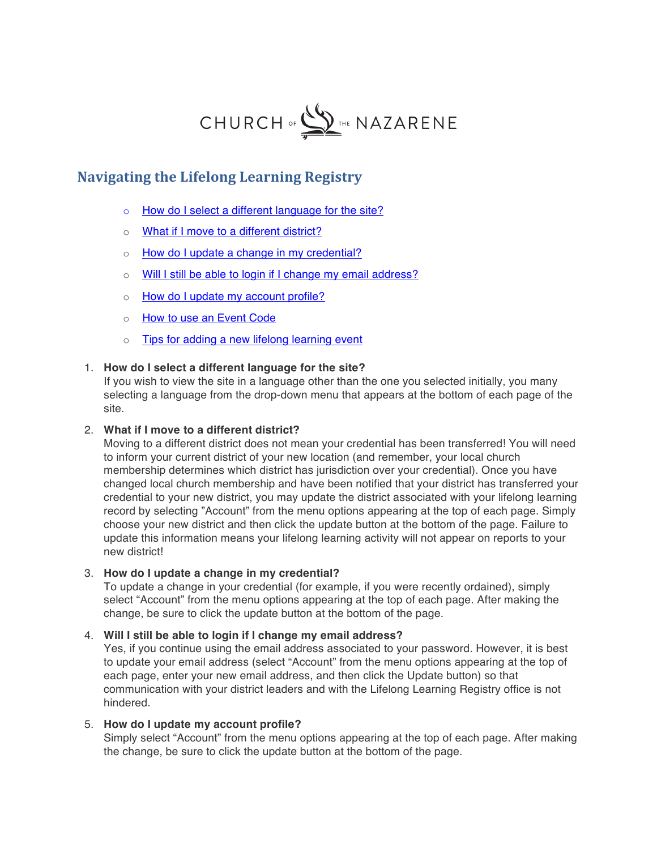

# **Navigating the Lifelong Learning Registry**

- o [How do I select a different language for the site?](#page-0-0)
- o [What if I move to a different district?](#page-0-1)
- o How do I update a [change in my credential?](#page-0-2)
- o [Will I still be able to login if I change my email address?](#page-0-3)
- o [How do I update my account profile?](#page-0-4)
- o [How to use an Event Code](#page-1-0)
- o [Tips for adding a new lifelong learning event](#page-1-1)

## 1. **How do I select a different language for the site?**

<span id="page-0-0"></span>If you wish to view the site in a language other than the one you selected initially, you many selecting a language from the drop-down menu that appears at the bottom of each page of the site.

#### 2. **What if I move to a different district?**

<span id="page-0-1"></span>Moving to a different district does not mean your credential has been transferred! You will need to inform your current district of your new location (and remember, your local church membership determines which district has jurisdiction over your credential). Once you have changed local church membership and have been notified that your district has transferred your credential to your new district, you may update the district associated with your lifelong learning record by selecting "Account" from the menu options appearing at the top of each page. Simply choose your new district and then click the update button at the bottom of the page. Failure to update this information means your lifelong learning activity will not appear on reports to your new district!

# 3. **How do I update a change in my credential?**

<span id="page-0-2"></span>To update a change in your credential (for example, if you were recently ordained), simply select "Account" from the menu options appearing at the top of each page. After making the change, be sure to click the update button at the bottom of the page.

#### 4. **Will I still be able to login if I change my email address?**

<span id="page-0-3"></span>Yes, if you continue using the email address associated to your password. However, it is best to update your email address (select "Account" from the menu options appearing at the top of each page, enter your new email address, and then click the Update button) so that communication with your district leaders and with the Lifelong Learning Registry office is not hindered.

#### 5. **How do I update my account profile?**

<span id="page-0-4"></span>Simply select "Account" from the menu options appearing at the top of each page. After making the change, be sure to click the update button at the bottom of the page.